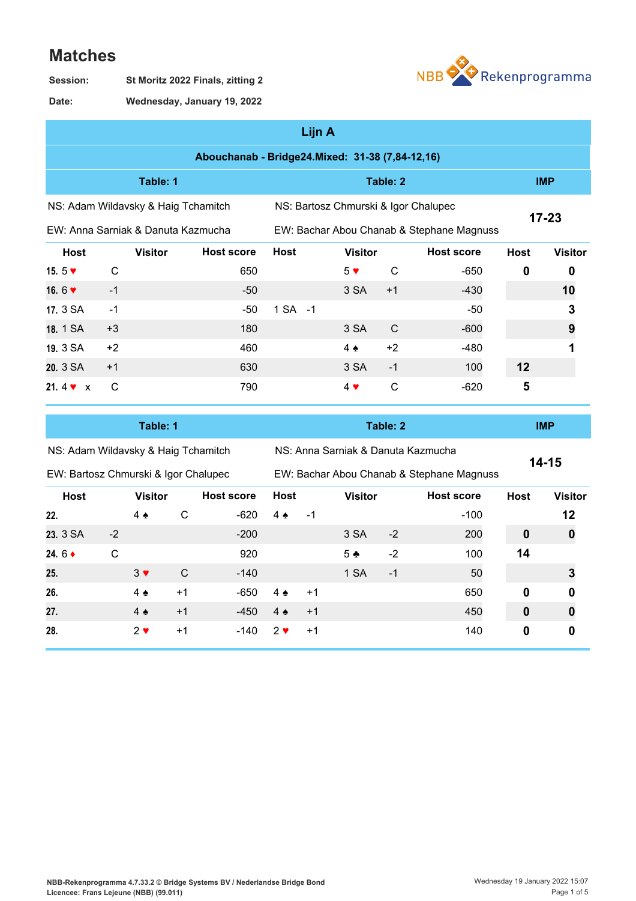## **Matches**





**Wednesday, January 19, 2022 Date:**

|                                                                             | Lijn A       |                |                                                 |             |  |                |              |                                           |             |                |  |  |  |
|-----------------------------------------------------------------------------|--------------|----------------|-------------------------------------------------|-------------|--|----------------|--------------|-------------------------------------------|-------------|----------------|--|--|--|
|                                                                             |              |                | Abouchanab - Bridge24.Mixed: 31-38 (7,84-12,16) |             |  |                |              |                                           |             |                |  |  |  |
|                                                                             |              | Table: 1       |                                                 |             |  |                | <b>IMP</b>   |                                           |             |                |  |  |  |
| NS: Bartosz Chmurski & Igor Chalupec<br>NS: Adam Wildavsky & Haig Tchamitch |              |                |                                                 |             |  |                |              |                                           |             | $17 - 23$      |  |  |  |
| EW: Anna Sarniak & Danuta Kazmucha                                          |              |                |                                                 |             |  |                |              | EW: Bachar Abou Chanab & Stephane Magnuss |             |                |  |  |  |
| <b>Host</b>                                                                 |              | <b>Visitor</b> | <b>Host score</b>                               | <b>Host</b> |  | <b>Visitor</b> |              | <b>Host score</b>                         | <b>Host</b> | <b>Visitor</b> |  |  |  |
| 15. $5 \blacktriangleright$                                                 | $\mathsf{C}$ |                | 650                                             |             |  | $5 \vee$       | C            | $-650$                                    | $\mathbf 0$ | 0              |  |  |  |
| 16.6 $\blacktriangledown$                                                   | $-1$         |                | $-50$                                           |             |  | 3 SA           | $+1$         | $-430$                                    |             | 10             |  |  |  |
| 17. 3 SA                                                                    | $-1$         |                | $-50$                                           | 1 SA -1     |  |                |              | $-50$                                     |             | 3              |  |  |  |
| 18. 1 SA                                                                    | $+3$         |                | 180                                             |             |  | 3 SA           | C            | $-600$                                    |             | 9              |  |  |  |
| 19, 3 SA                                                                    | $+2$         |                | 460                                             |             |  | $4 \triangle$  | $+2$         | $-480$                                    |             |                |  |  |  |
| 20, 3 SA                                                                    | $+1$         |                | 630                                             |             |  | 3 SA           | $-1$         | 100                                       | 12          |                |  |  |  |
| 21.4 $\bullet$ x                                                            | $\mathsf{C}$ |                | 790                                             |             |  | $4 \vee$       | $\mathsf{C}$ | $-620$                                    | 5           |                |  |  |  |

|  | NS: Adam Wildavsky & Haig Tchamitch |
|--|-------------------------------------|

NS: Anna Sarniak & Danuta Kazmucha

**Table: 1 Table: 2 IMP**

**14-15**

|                       | EW: Bartosz Chmurski & Igor Chalupec |                |      |                   |                   |             | EW: Bachar Abou Chanab & Stephane Magnuss |                |                   |             |                  |  |  |  |
|-----------------------|--------------------------------------|----------------|------|-------------------|-------------------|-------------|-------------------------------------------|----------------|-------------------|-------------|------------------|--|--|--|
| <b>Host</b>           |                                      | <b>Visitor</b> |      | <b>Host score</b> |                   | <b>Host</b> |                                           | <b>Visitor</b> | <b>Host score</b> | <b>Host</b> | <b>Visitor</b>   |  |  |  |
| 22.                   |                                      | $4 \triangle$  | C    | $-620$            | $4 \triangle$     | $-1$        |                                           |                | $-100$            |             | 12               |  |  |  |
| 23. 3 SA              | $-2$                                 |                |      | $-200$            |                   |             | 3 SA                                      | $-2$           | 200               | 0           | $\boldsymbol{0}$ |  |  |  |
| 24. $6 \triangleleft$ | C                                    |                |      | 920               |                   |             | $5 +$                                     | $-2$           | 100               | 14          |                  |  |  |  |
| 25.                   |                                      | $3 \vee$       | C    | $-140$            |                   |             | 1 SA                                      | $-1$           | 50                |             |                  |  |  |  |
| 26.                   |                                      | $4 \bullet$    | $+1$ | $-650$            | $4 \triangleleft$ | $+1$        |                                           |                | 650               | $\mathbf 0$ | 0                |  |  |  |
| 27.                   |                                      | $4 \triangle$  | $+1$ | $-450$            | $4 \triangle$     | $+1$        |                                           |                | 450               | $\mathbf 0$ | 0                |  |  |  |
| 28.                   |                                      | $2 \vee$       | $+1$ | -140              | $2 \vee$          | $+1$        |                                           |                | 140               | 0           | 0                |  |  |  |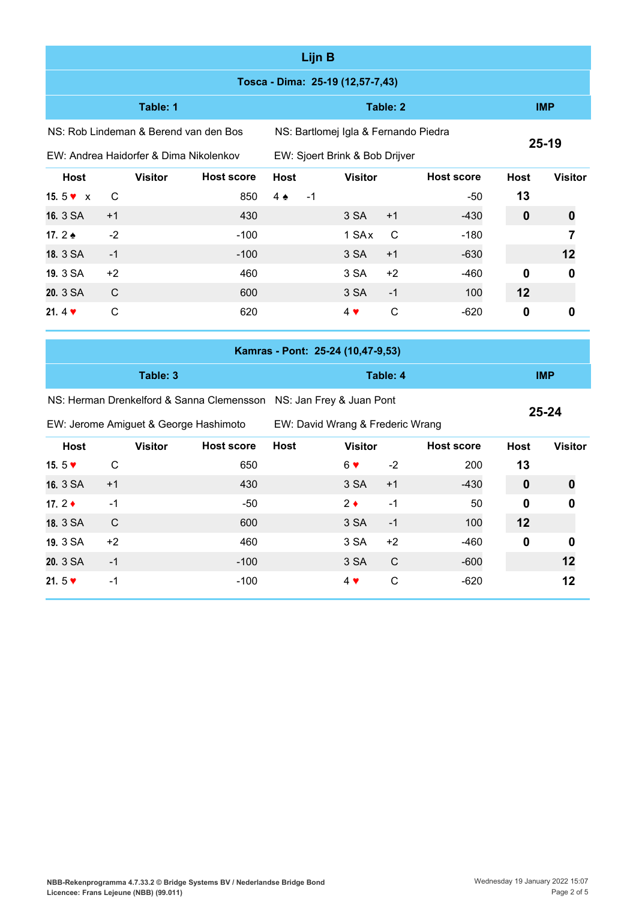|                           |                                        |                                                                    |               | Lijn B                               |                                   |                |                   |              |                  |
|---------------------------|----------------------------------------|--------------------------------------------------------------------|---------------|--------------------------------------|-----------------------------------|----------------|-------------------|--------------|------------------|
|                           |                                        |                                                                    |               |                                      | Tosca - Dima: 25-19 (12,57-7,43)  |                |                   |              |                  |
|                           | Table: 1                               |                                                                    |               |                                      | <b>IMP</b>                        |                |                   |              |                  |
|                           | NS: Rob Lindeman & Berend van den Bos  |                                                                    |               | NS: Bartlomej Igla & Fernando Piedra |                                   |                |                   |              |                  |
|                           | EW: Andrea Haidorfer & Dima Nikolenkov |                                                                    |               | EW: Sjoert Brink & Bob Drijver       |                                   | $25 - 19$      |                   |              |                  |
| <b>Host</b>               | <b>Visitor</b>                         | <b>Host score</b>                                                  | <b>Host</b>   |                                      | <b>Host</b>                       | <b>Visitor</b> |                   |              |                  |
| 15.5 $\bullet$ x          | С                                      | 850                                                                | $4 \triangle$ | $-1$                                 |                                   |                | -50               | 13           |                  |
| 16. 3 SA                  | $+1$                                   | 430                                                                |               |                                      | 3 SA                              | $+1$           | $-430$            | $\mathbf 0$  | $\boldsymbol{0}$ |
| 17.2 ♦                    | $-2$                                   | $-100$                                                             |               |                                      | 1 SAx                             | C              | $-180$            |              | 7                |
| 18. 3 SA                  | $-1$                                   | $-100$                                                             |               |                                      | 3 SA                              | $+1$           | $-630$            |              | 12               |
| 19. 3 SA                  | $+2$                                   | 460                                                                |               |                                      | 3 SA                              | $+2$           | -460              | $\mathbf{0}$ | 0                |
| 20. 3 SA                  | C                                      | 600                                                                |               |                                      | 3 SA                              | $-1$           | 100               | 12           |                  |
| 21. $4 \cdot$             | $\mathsf{C}$                           | 620                                                                |               |                                      | $4 \vee$                          | $\mathsf{C}$   | $-620$            | $\mathbf 0$  | $\mathbf 0$      |
|                           |                                        |                                                                    |               |                                      | Kamras - Pont: 25-24 (10,47-9,53) |                |                   |              |                  |
|                           | Table: 3                               |                                                                    |               |                                      |                                   | <b>IMP</b>     |                   |              |                  |
|                           |                                        | NS: Herman Drenkelford & Sanna Clemensson NS: Jan Frey & Juan Pont |               |                                      |                                   |                |                   |              |                  |
|                           | EW: Jerome Amiguet & George Hashimoto  |                                                                    |               |                                      | EW: David Wrang & Frederic Wrang  |                |                   |              | $25 - 24$        |
| <b>Host</b>               | <b>Visitor</b>                         | <b>Host score</b>                                                  | <b>Host</b>   |                                      | <b>Visitor</b>                    |                | <b>Host score</b> | <b>Host</b>  | <b>Visitor</b>   |
| 15.5 $\blacktriangledown$ | $\mathsf{C}$                           | 650                                                                |               |                                      | $6 \vee$                          | $-2$           | 200               | 13           |                  |
| 16. 3 SA                  | $+1$                                   | 430                                                                |               |                                      | 3 SA                              | $+1$           | $-430$            | $\mathbf 0$  | 0                |
| 17.2 $\triangle$          | $-1$                                   | $-50$                                                              |               |                                      | $2 \bullet$                       | $-1$           | 50                | 0            | 0                |
| 18. 3 SA                  | C                                      | 600                                                                |               |                                      | 3 SA                              | $-1$           | 100               | 12           |                  |
| 19. 3 SA                  | $+2$                                   | 460                                                                |               |                                      | 3 SA                              | $+2$           | -460              | $\bf{0}$     | 0                |
| 20. 3 SA                  | $-1$                                   | $-100$                                                             |               |                                      | 3 SA                              | $\mathsf C$    | $-600$            |              | 12               |
| 21.5 $\blacktriangledown$ | $-1$                                   | $-100$                                                             |               |                                      | $4$ $\blacktriangledown$          | $\mathsf C$    | $-620$            |              | 12               |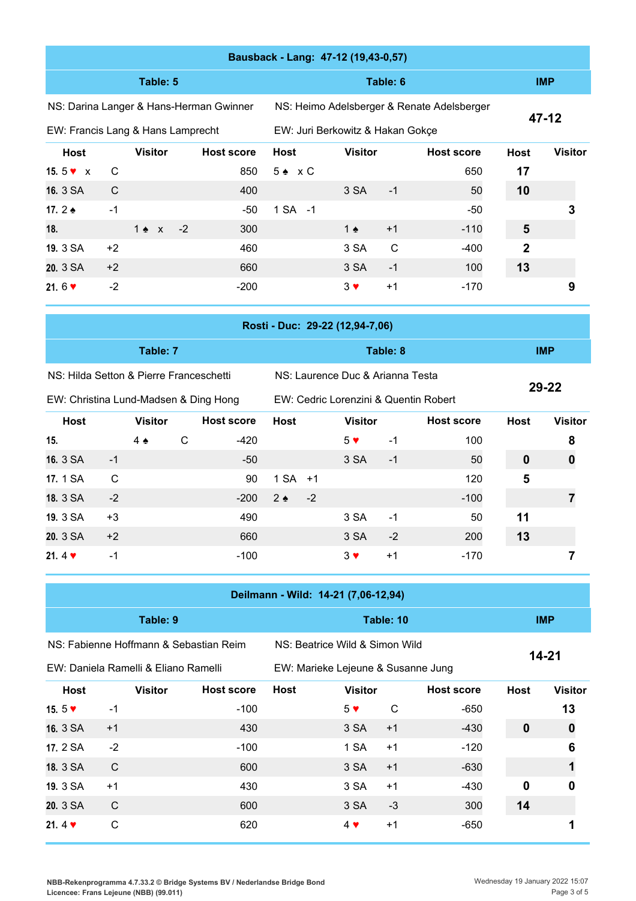|                                         |              |                 |              |                                         |                   |                                     | Bausback - Lang: 47-12 (19,43-0,57) |              |                                            |                |                         |
|-----------------------------------------|--------------|-----------------|--------------|-----------------------------------------|-------------------|-------------------------------------|-------------------------------------|--------------|--------------------------------------------|----------------|-------------------------|
|                                         |              | Table: 5        |              |                                         |                   |                                     |                                     | Table: 6     |                                            | <b>IMP</b>     |                         |
|                                         |              |                 |              | NS: Darina Langer & Hans-Herman Gwinner |                   |                                     |                                     |              | NS: Heimo Adelsberger & Renate Adelsberger |                |                         |
| EW: Francis Lang & Hans Lamprecht       |              |                 |              |                                         |                   | EW: Juri Berkowitz & Hakan Gokçe    |                                     |              |                                            |                | $47 - 12$               |
| <b>Host</b>                             |              | <b>Visitor</b>  |              | <b>Host score</b>                       | <b>Host</b>       | <b>Host score</b><br><b>Visitor</b> |                                     |              | <b>Host</b>                                | <b>Visitor</b> |                         |
| 15.5 $\bullet$ x                        | C            |                 |              | 850                                     | $5 \triangle x C$ |                                     |                                     |              | 650                                        | 17             |                         |
| 16. 3 SA                                | $\mathsf{C}$ |                 |              | 400                                     |                   |                                     | 3 SA                                | $-1$         | 50                                         | 10             |                         |
| 17.2 $\triangle$                        | $-1$         |                 |              | $-50$                                   | 1 SA -1           |                                     |                                     |              | $-50$                                      |                | 3                       |
| 18.                                     |              | $1 \triangle x$ | $-2$         | 300                                     |                   |                                     | 1 $\triangle$                       | $+1$         | $-110$                                     | 5              |                         |
| 19. 3 SA                                | $+2$         |                 |              | 460                                     |                   |                                     | 3 SA                                | $\mathsf{C}$ | $-400$                                     | $\overline{2}$ |                         |
| 20. 3 SA                                | $+2$         |                 |              | 660                                     |                   |                                     | 3 SA                                | $-1$         | 100                                        | 13             |                         |
| 21.6 $\triangledown$                    | $-2$         |                 |              | $-200$                                  |                   |                                     | $3 \vee$                            | $+1$         | $-170$                                     |                | 9                       |
|                                         |              |                 |              |                                         |                   |                                     |                                     |              |                                            |                |                         |
|                                         |              |                 |              |                                         |                   |                                     | Rosti - Duc: 29-22 (12,94-7,06)     |              |                                            |                |                         |
|                                         |              | Table: 7        |              |                                         |                   | Table: 8                            |                                     |              |                                            |                | <b>IMP</b>              |
| NS: Hilda Setton & Pierre Franceschetti |              |                 |              |                                         |                   |                                     | NS: Laurence Duc & Arianna Testa    |              |                                            |                |                         |
| EW: Christina Lund-Madsen & Ding Hong   |              |                 |              |                                         |                   |                                     |                                     |              | EW: Cedric Lorenzini & Quentin Robert      |                | 29-22                   |
| <b>Host</b>                             |              | <b>Visitor</b>  |              | <b>Host score</b>                       | <b>Host</b>       |                                     | <b>Visitor</b>                      |              | <b>Host score</b>                          | <b>Host</b>    | <b>Visitor</b>          |
| 15.                                     |              | $4 \triangle$   | $\mathsf{C}$ | $-420$                                  |                   |                                     | 5 <sub>v</sub>                      | $-1$         | 100                                        |                | 8                       |
| 16. 3 SA                                | $-1$         |                 |              | $-50$                                   |                   |                                     | 3 SA                                | $-1$         | 50                                         | $\mathbf 0$    | 0                       |
| 17. 1 SA                                | $\mathsf{C}$ |                 |              | 90                                      | 1 SA              | $+1$                                |                                     |              | 120                                        | 5              |                         |
| 18. 3 SA                                | $-2$         |                 |              | $-200$                                  | $2 \triangle$     | $-2$                                |                                     |              | $-100$                                     |                | $\overline{\mathbf{7}}$ |
| 19. 3 SA                                | $+3$         |                 |              | 490                                     |                   |                                     | 3 SA                                | $-1$         | 50                                         | 11             |                         |

| 21.4 $\blacktriangledown$            | $-1$ |                | $-100$                                 |             | $3 \vee$                            | $+1$ | $-170$            |             |                  |
|--------------------------------------|------|----------------|----------------------------------------|-------------|-------------------------------------|------|-------------------|-------------|------------------|
|                                      |      |                |                                        |             | Deilmann - Wild: 14-21 (7,06-12,94) |      |                   |             |                  |
|                                      |      | Table: 9       |                                        |             | Table: 10                           |      | <b>IMP</b>        |             |                  |
|                                      |      |                | NS: Fabienne Hoffmann & Sebastian Reim |             | NS: Beatrice Wild & Simon Wild      |      |                   | 14-21       |                  |
| EW: Daniela Ramelli & Eliano Ramelli |      |                |                                        |             | EW: Marieke Lejeune & Susanne Jung  |      |                   |             |                  |
| Host                                 |      | <b>Visitor</b> | <b>Host score</b>                      | <b>Host</b> | <b>Visitor</b>                      |      | <b>Host score</b> | <b>Host</b> | <b>Visitor</b>   |
| 15. $5 \blacktriangledown$           | $-1$ |                | $-100$                                 |             | 5 <sub>v</sub>                      | C    | $-650$            |             | 13               |
| 16. 3 SA                             | $+1$ |                | 430                                    |             | 3 SA                                | $+1$ | $-430$            | $\mathbf 0$ | $\boldsymbol{0}$ |
| 17. 2 SA                             | $-2$ |                | $-100$                                 |             | 1 SA                                | $+1$ | $-120$            |             | 6                |
| 18. 3 SA                             | C    |                | 600                                    |             | 3 SA                                | $+1$ | $-630$            |             |                  |
| 19. 3 SA                             | $+1$ |                | 430                                    |             | 3 SA                                | $+1$ | $-430$            | 0           | n                |
| 20. 3 SA                             | C    |                | 600                                    |             | 3 SA                                | $-3$ | 300               | 14          |                  |
| 21.4 $\blacktriangledown$            | C    |                | 620                                    |             | $4 \cdot$                           | $+1$ | $-650$            |             |                  |

**20.** 3 SA +2 660 3 SA -2 200 **13**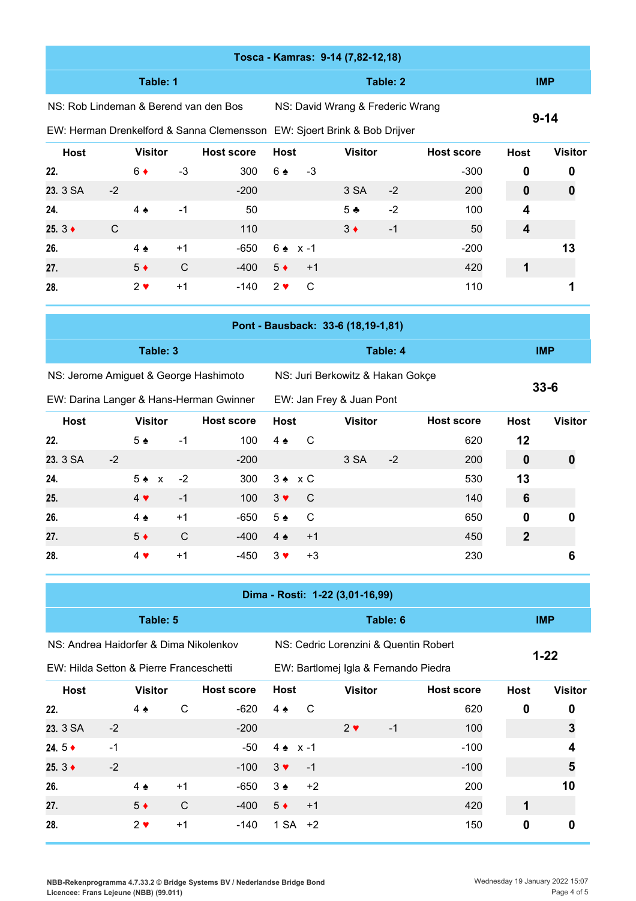|                                        |      |                          |             |                                         |                                                                          |                                  | Tosca - Kamras: 9-14 (7,82-12,18)     |          |                   |                  |                |
|----------------------------------------|------|--------------------------|-------------|-----------------------------------------|--------------------------------------------------------------------------|----------------------------------|---------------------------------------|----------|-------------------|------------------|----------------|
|                                        |      | Table: 1                 |             |                                         |                                                                          |                                  |                                       | Table: 2 |                   | <b>IMP</b>       |                |
| NS: Rob Lindeman & Berend van den Bos  |      |                          |             |                                         |                                                                          | NS: David Wrang & Frederic Wrang |                                       |          |                   |                  |                |
|                                        |      |                          |             |                                         | EW: Herman Drenkelford & Sanna Clemensson EW: Sjoert Brink & Bob Drijver |                                  |                                       |          |                   | $9 - 14$         |                |
| <b>Host</b>                            |      | <b>Visitor</b>           |             | <b>Host score</b>                       | <b>Host</b>                                                              |                                  | <b>Visitor</b>                        |          | <b>Host score</b> | <b>Host</b>      | <b>Visitor</b> |
| 22.                                    |      | $6\bullet$               | $-3$        | 300                                     | 6 ♠                                                                      | $-3$                             |                                       |          | $-300$            | 0                | 0              |
| 23. 3 SA                               | $-2$ |                          |             | $-200$                                  |                                                                          |                                  | 3 SA                                  | $-2$     | 200               | $\mathbf{0}$     | 0              |
| 24.                                    |      | $4 \triangle$            | -1          | 50                                      |                                                                          |                                  | $5 +$                                 | $-2$     | 100               | 4                |                |
| 25. $3$ ♦                              | C    |                          |             | 110                                     |                                                                          |                                  | $3 \bullet$                           | $-1$     | 50                | 4                |                |
| 26.                                    |      | $4 \triangle$            | $+1$        | $-650$                                  | $6 \div x - 1$                                                           |                                  |                                       |          | $-200$            |                  | 13             |
| 27.                                    |      | $5*$                     | C           | $-400$                                  | $5*$                                                                     | $+1$                             |                                       |          | 420               | 1                |                |
| 28.                                    |      | $2 \vee$                 | $+1$        | $-140$                                  | $2 \vee$                                                                 | $\mathsf{C}$                     |                                       |          | 110               |                  | 1              |
|                                        |      |                          |             |                                         |                                                                          |                                  | Pont - Bausback: 33-6 (18,19-1,81)    |          |                   |                  |                |
|                                        |      |                          |             |                                         |                                                                          |                                  |                                       |          |                   |                  |                |
|                                        |      | Table: 3                 |             |                                         |                                                                          |                                  |                                       | Table: 4 |                   |                  | <b>IMP</b>     |
| NS: Jerome Amiguet & George Hashimoto  |      |                          |             |                                         |                                                                          |                                  |                                       |          |                   |                  |                |
|                                        |      |                          |             |                                         |                                                                          |                                  | NS: Juri Berkowitz & Hakan Gokçe      |          |                   |                  |                |
|                                        |      |                          |             | EW: Darina Langer & Hans-Herman Gwinner |                                                                          |                                  | EW: Jan Frey & Juan Pont              |          |                   |                  | $33 - 6$       |
| <b>Host</b>                            |      | <b>Visitor</b>           |             | <b>Host score</b>                       | <b>Host</b>                                                              |                                  | <b>Visitor</b>                        |          | <b>Host score</b> | <b>Host</b>      | <b>Visitor</b> |
| 22.                                    |      | 5 <sub>2</sub>           | $-1$        | 100                                     | $4 \triangle$                                                            | C                                |                                       |          | 620               | 12               |                |
| 23. 3 SA                               | $-2$ |                          |             | $-200$                                  |                                                                          |                                  | 3 SA                                  | $-2$     | 200               | $\bf{0}$         | 0              |
| 24.                                    |      | $5 \triangle x$          | $-2$        | 300                                     | $3 \cdot x C$                                                            |                                  |                                       |          | 530               | 13               |                |
| 25.                                    |      | $4$ $\blacktriangledown$ | $-1$        | 100                                     | $3 \vee$                                                                 | C                                |                                       |          | 140               | 6                |                |
| 26.                                    |      | $4 \triangle$            | $+1$        | $-650$                                  | $5 \triangle$                                                            | C                                |                                       |          | 650               | 0                | 0              |
| 27.                                    |      | $5*$                     | $\mathsf C$ | $-400$                                  | $4 \triangle$                                                            | $+1$                             |                                       |          | 450               | $\boldsymbol{2}$ |                |
| 28.                                    |      | $4$ $\blacktriangledown$ | $+1$        | $-450$                                  | $3 \blacktriangledown$                                                   | $+3$                             |                                       |          | 230               |                  | 6              |
|                                        |      |                          |             |                                         |                                                                          |                                  | Dima - Rosti: 1-22 (3,01-16,99)       |          |                   |                  |                |
|                                        |      | Table: 5                 |             |                                         |                                                                          |                                  |                                       | Table: 6 |                   |                  | <b>IMP</b>     |
| NS: Andrea Haidorfer & Dima Nikolenkov |      |                          |             |                                         |                                                                          |                                  | NS: Cedric Lorenzini & Quentin Robert |          |                   |                  | $1 - 22$       |

| <b>Host</b>           |      | <b>Visitor</b> |      | <b>Host score</b> | Host            |           | <b>Visitor</b> |      | <b>Host score</b> | <b>Host</b> | <b>Visitor</b> |
|-----------------------|------|----------------|------|-------------------|-----------------|-----------|----------------|------|-------------------|-------------|----------------|
| 22.                   |      | $4 \triangle$  | C    | $-620$            | $4 \triangle$   | C.        |                |      | 620               | 0           | 0              |
| 23. 3 SA              | $-2$ |                |      | $-200$            |                 |           | $2 \vee$       | $-1$ | 100               |             | 3              |
| 24.5 $\bullet$        | $-1$ |                |      | $-50$             | $4 \cdot x - 1$ |           |                |      | $-100$            |             |                |
| 25. $3 \triangleleft$ | $-2$ |                |      | $-100$            | $3 \vee$        | $-1$      |                |      | $-100$            |             | 5              |
| 26.                   |      | $4 \triangle$  | $+1$ | $-650$            | $3 \triangle$   | $+2$      |                |      | 200               |             | 10             |
| 27.                   |      | $5*$           | C    | $-400$            | $5*$            | $+1$      |                |      | 420               |             |                |
| 28.                   |      | $2 \vee$       | $+1$ | $-140$            |                 | $1 SA +2$ |                |      | 150               | 0           | 0              |
|                       |      |                |      |                   |                 |           |                |      |                   |             |                |